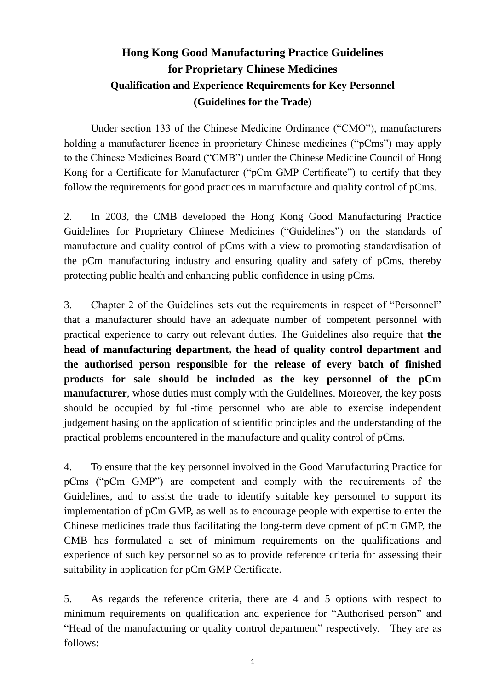## **Hong Kong Good Manufacturing Practice Guidelines for Proprietary Chinese Medicines Qualification and Experience Requirements for Key Personnel (Guidelines for the Trade)**

Under section 133 of the Chinese Medicine Ordinance ("CMO"), manufacturers holding a manufacturer licence in proprietary Chinese medicines ("pCms") may apply to the Chinese Medicines Board ("CMB") under the Chinese Medicine Council of Hong Kong for a Certificate for Manufacturer ("pCm GMP Certificate") to certify that they follow the requirements for good practices in manufacture and quality control of pCms.

2. In 2003, the CMB developed the Hong Kong Good Manufacturing Practice Guidelines for Proprietary Chinese Medicines ("Guidelines") on the standards of manufacture and quality control of pCms with a view to promoting standardisation of the pCm manufacturing industry and ensuring quality and safety of pCms, thereby protecting public health and enhancing public confidence in using pCms.

3. Chapter 2 of the Guidelines sets out the requirements in respect of "Personnel" that a manufacturer should have an adequate number of competent personnel with practical experience to carry out relevant duties. The Guidelines also require that **the head of manufacturing department, the head of quality control department and the authorised person responsible for the release of every batch of finished products for sale should be included as the key personnel of the pCm manufacturer**, whose duties must comply with the Guidelines. Moreover, the key posts should be occupied by full-time personnel who are able to exercise independent judgement basing on the application of scientific principles and the understanding of the practical problems encountered in the manufacture and quality control of pCms.

4. To ensure that the key personnel involved in the Good Manufacturing Practice for pCms ("pCm GMP") are competent and comply with the requirements of the Guidelines, and to assist the trade to identify suitable key personnel to support its implementation of pCm GMP, as well as to encourage people with expertise to enter the Chinese medicines trade thus facilitating the long-term development of pCm GMP, the CMB has formulated a set of minimum requirements on the qualifications and experience of such key personnel so as to provide reference criteria for assessing their suitability in application for pCm GMP Certificate.

5. As regards the reference criteria, there are 4 and 5 options with respect to minimum requirements on qualification and experience for "Authorised person" and "Head of the manufacturing or quality control department" respectively. They are as follows: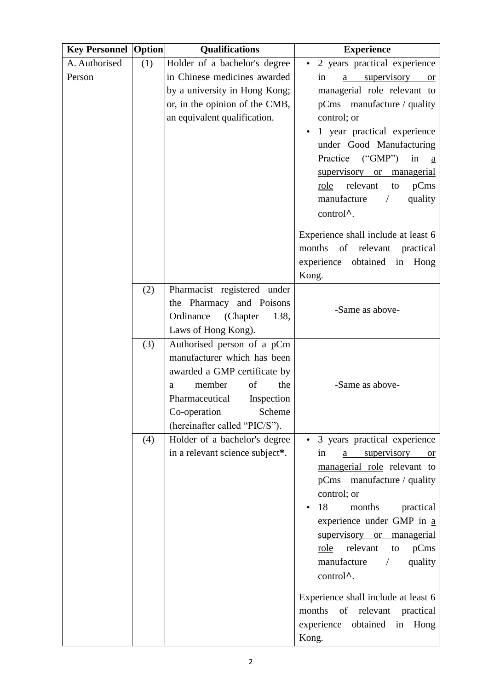| <b>Key Personnel</b> | <b>Option</b> | <b>Qualifications</b>           | <b>Experience</b>                         |
|----------------------|---------------|---------------------------------|-------------------------------------------|
| A. Authorised        | (1)           | Holder of a bachelor's degree   | 2 years practical experience<br>$\bullet$ |
| Person               |               | in Chinese medicines awarded    | <u>a supervisory or</u><br>in             |
|                      |               | by a university in Hong Kong;   | managerial role relevant to               |
|                      |               | or, in the opinion of the CMB,  | pCms manufacture / quality                |
|                      |               | an equivalent qualification.    | control; or                               |
|                      |               |                                 | 1 year practical experience               |
|                      |               |                                 | under Good Manufacturing                  |
|                      |               |                                 | Practice ("GMP")<br>in<br><sub>a</sub>    |
|                      |               |                                 | supervisory or managerial                 |
|                      |               |                                 | relevant<br>pCms<br>role<br>to            |
|                      |               |                                 | manufacture<br>quality<br>$\sqrt{2}$      |
|                      |               |                                 | control <sup>^</sup> .                    |
|                      |               |                                 | Experience shall include at least 6       |
|                      |               |                                 | of relevant practical<br>months           |
|                      |               |                                 | experience obtained in Hong               |
|                      |               |                                 | Kong.                                     |
|                      | (2)           | Pharmacist registered under     |                                           |
|                      |               | the Pharmacy and Poisons        | -Same as above-                           |
|                      |               | Ordinance<br>(Chapter<br>138,   |                                           |
|                      |               | Laws of Hong Kong).             |                                           |
|                      | (3)           | Authorised person of a pCm      |                                           |
|                      |               | manufacturer which has been     |                                           |
|                      |               | awarded a GMP certificate by    |                                           |
|                      |               | of<br>the<br>member<br>a        | -Same as above-                           |
|                      |               | Pharmaceutical<br>Inspection    |                                           |
|                      |               | Co-operation<br>Scheme          |                                           |
|                      |               | (hereinafter called "PIC/S").   |                                           |
|                      | (4)           | Holder of a bachelor's degree   | 3 years practical experience              |
|                      |               | in a relevant science subject*. | a supervisory or<br>in                    |
|                      |               |                                 | managerial role relevant to               |
|                      |               |                                 | pCms manufacture / quality<br>control; or |
|                      |               |                                 | 18<br>months                              |
|                      |               |                                 | practical<br>experience under GMP in a    |
|                      |               |                                 | supervisory or managerial                 |
|                      |               |                                 | relevant<br>pCms<br>role<br>to            |
|                      |               |                                 | manufacture<br>quality<br>$\sqrt{2}$      |
|                      |               |                                 | control <sup>^</sup> .                    |
|                      |               |                                 |                                           |
|                      |               |                                 | Experience shall include at least 6       |
|                      |               |                                 | months of relevant practical              |
|                      |               |                                 | experience obtained in Hong               |
|                      |               |                                 | Kong.                                     |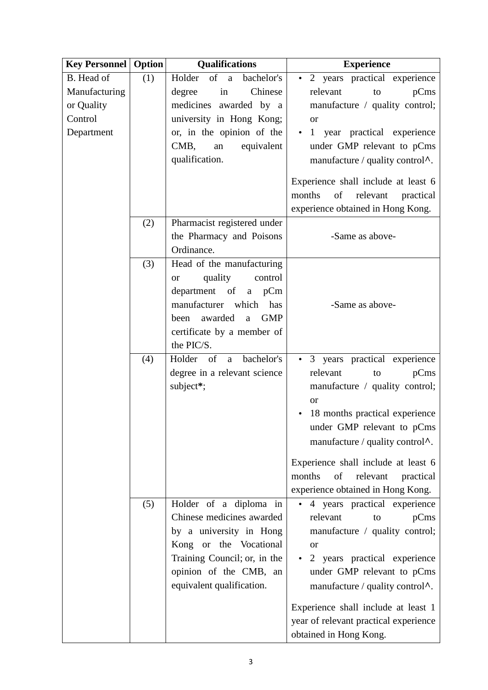| <b>Key Personnel</b> | <b>Option</b> | <b>Qualifications</b>               | <b>Experience</b>                         |
|----------------------|---------------|-------------------------------------|-------------------------------------------|
| B. Head of           | (1)           | Holder<br>of a<br>bachelor's        | 2 years practical experience<br>٠         |
| Manufacturing        |               | Chinese<br>degree<br>in             | relevant<br>pCms<br>to                    |
| or Quality           |               | medicines awarded by a              | manufacture / quality control;            |
| Control              |               | university in Hong Kong;            | <b>or</b>                                 |
| Department           |               | or, in the opinion of the           | 1 year practical experience               |
|                      |               | equivalent<br>CMB,<br>${\rm an}$    | under GMP relevant to pCms                |
|                      |               | qualification.                      | manufacture / quality control $\Lambda$ . |
|                      |               |                                     | Experience shall include at least 6       |
|                      |               |                                     | of<br>relevant<br>months<br>practical     |
|                      |               |                                     | experience obtained in Hong Kong.         |
|                      | (2)           | Pharmacist registered under         |                                           |
|                      |               | the Pharmacy and Poisons            | -Same as above-                           |
|                      |               | Ordinance.                          |                                           |
|                      | (3)           | Head of the manufacturing           |                                           |
|                      |               | quality<br>control<br><sub>or</sub> |                                           |
|                      |               | department of<br>a pCm              |                                           |
|                      |               | manufacturer which<br>has           | -Same as above-                           |
|                      |               | <b>GMP</b><br>been awarded<br>a     |                                           |
|                      |               | certificate by a member of          |                                           |
|                      |               | the PIC/S.                          |                                           |
|                      | (4)           | Holder of a<br>bachelor's           | • 3 years practical experience            |
|                      |               | degree in a relevant science        | relevant<br>pCms<br>to                    |
|                      |               | subject*;                           | manufacture / quality control;            |
|                      |               |                                     | <b>or</b>                                 |
|                      |               |                                     | 18 months practical experience            |
|                      |               |                                     | under GMP relevant to pCms                |
|                      |               |                                     | manufacture / quality control $\lambda$ . |
|                      |               |                                     | Experience shall include at least 6       |
|                      |               |                                     | of<br>months<br>relevant<br>practical     |
|                      |               |                                     | experience obtained in Hong Kong.         |
|                      | (5)           | Holder of a diploma in              | 4 years practical experience              |
|                      |               | Chinese medicines awarded           | relevant<br>pCms<br>to                    |
|                      |               | by a university in Hong             | manufacture / quality control;            |
|                      |               | Kong or the Vocational              | <b>or</b>                                 |
|                      |               | Training Council; or, in the        | 2 years practical experience              |
|                      |               | opinion of the CMB, an              | under GMP relevant to pCms                |
|                      |               | equivalent qualification.           | manufacture / quality control $\Lambda$ . |
|                      |               |                                     | Experience shall include at least 1       |
|                      |               |                                     | year of relevant practical experience     |
|                      |               |                                     | obtained in Hong Kong.                    |